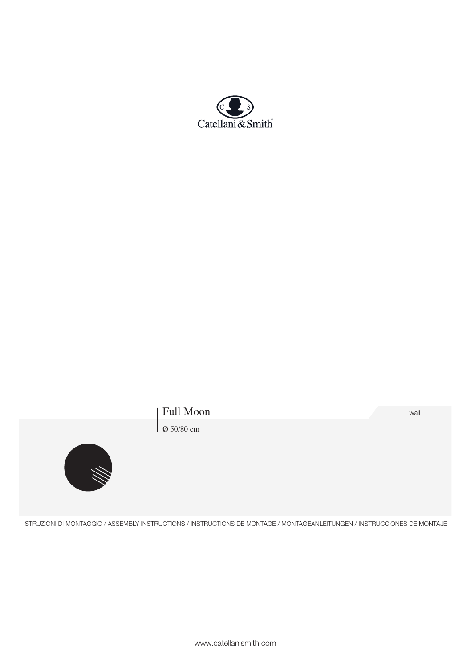

# Full Moon wall

 $\vert$  Ø 50/80 cm



ISTRUZIONI DI MONTAGGIO / ASSEMBLY INSTRUCTIONS / INSTRUCTIONS DE MONTAGE / MONTAGEANLEITUNGEN / INSTRUCCIONES DE MONTAJE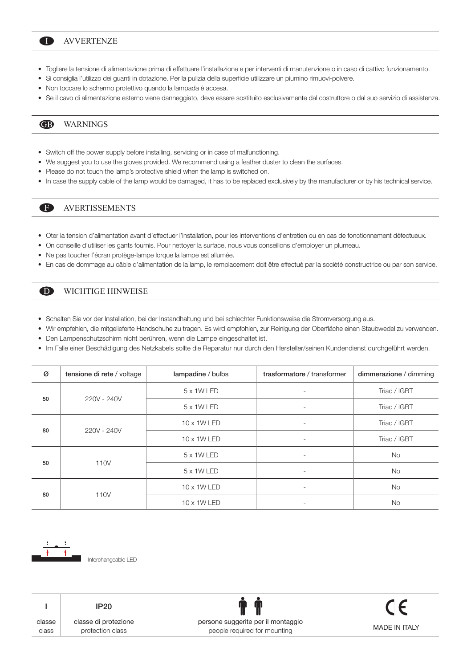### AVVERTENZE n

- Togliere la tensione di alimentazione prima di effettuare l'installazione e per interventi di manutenzione o in caso di cattivo funzionamento.
- Si consiglia l'utilizzo dei guanti in dotazione. Per la pulizia della superficie utilizzare un piumino rimuovi-polvere.
- Non toccare lo schermo protettivo quando la lampada è accesa.
- Se il cavo di alimentazione esterno viene danneggiato, deve essere sostituito esclusivamente dal costruttore o dal suo servizio di assistenza.

#### **®** WARNINGS

A

- Switch off the power supply before installing, servicing or in case of malfunctioning.
- We suggest you to use the gloves provided. We recommend using a feather duster to clean the surfaces.
- Please do not touch the lamp's protective shield when the lamp is switched on.
- In case the supply cable of the lamp would be damaged, it has to be replaced exclusively by the manufacturer or by his technical service.

## AVERTISSEMENTS

- Oter la tension d'alimentation avant d'effectuer l'installation, pour les interventions d'entretien ou en cas de fonctionnement défectueux.
- On conseille d'utiliser les gants fournis. Pour nettoyer la surface, nous vous conseillons d'employer un plumeau.
- Ne pas toucher l'écran protège-lampe lorque la lampe est allumée.
- En cas de dommage au câble d'alimentation de la lamp, le remplacement doit être effectué par la société constructrice ou par son service.

#### WICHTIGE HINWEISE  $\mathbf D$

- Schalten Sie vor der Installation, bei der Instandhaltung und bei schlechter Funktionsweise die Stromversorgung aus.
- Wir empfehlen, die mitgelieferte Handschuhe zu tragen. Es wird empfohlen, zur Reinigung der Oberfläche einen Staubwedel zu verwenden.
- Den Lampenschutzschirm nicht berühren, wenn die Lampe eingeschaltet ist.
- Im Falle einer Beschädigung des Netzkabels sollte die Reparatur nur durch den Hersteller/seinen Kundendienst durchgeführt werden.

| Ø  | tensione di rete / voltage | lampadine / bulbs | trasformatore / transformer | dimmerazione / dimming |
|----|----------------------------|-------------------|-----------------------------|------------------------|
| 50 | 220V - 240V                | 5 x 1W LED        |                             | Triac / IGBT           |
|    |                            | 5 x 1W LED        | ٠                           | Triac / IGBT           |
| 80 | 220V - 240V                | 10 x 1W LED       | ٠                           | Triac / IGBT           |
|    |                            | 10 x 1W LED       | ٠                           | Triac / IGBT           |
| 50 | 110V                       | 5 x 1W LED        |                             | <b>No</b>              |
|    |                            | 5 x 1W LED        |                             | <b>No</b>              |
| 80 | 110V                       | 10 x 1W LED       | ٠                           | <b>No</b>              |
|    |                            | 10 x 1W LED       |                             | <b>No</b>              |





classe di protezione protection class IP20

persone suggerite per il montaggio people required for mounting

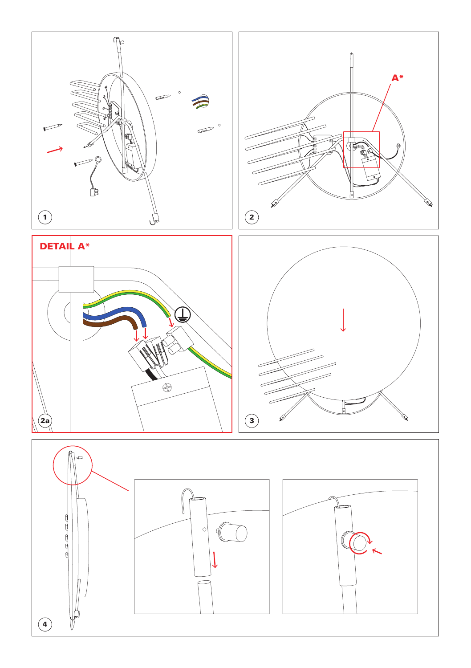